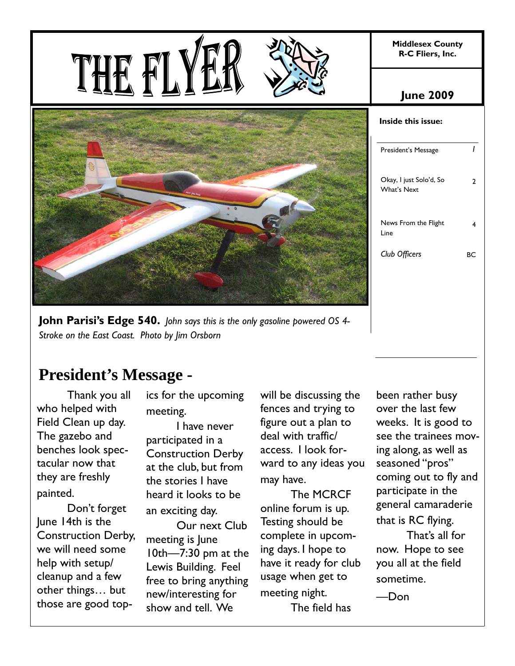**Middlesex County R-C Fliers, Inc.** 

# THE F



**John Parisi's Edge 540.** *John says this is the only gasoline powered OS 4- Stroke on the East Coast. Photo by Jim Orsborn*

## **President's Message -**

 Thank you all who helped with Field Clean up day. The gazebo and benches look spectacular now that they are freshly painted.

 Don't forget June 14th is the Construction Derby, we will need some help with setup/ cleanup and a few other things… but those are good topics for the upcoming meeting.

 I have never participated in a Construction Derby at the club, but from the stories I have heard it looks to be an exciting day.

 Our next Club meeting is June 10th—7:30 pm at the Lewis Building. Feel free to bring anything new/interesting for show and tell. We

will be discussing the fences and trying to figure out a plan to deal with traffic/ access. I look forward to any ideas you may have.

 The MCRCF online forum is up. Testing should be complete in upcoming days. I hope to have it ready for club usage when get to meeting night.

The field has

| <b>June 2009</b>                              |    |
|-----------------------------------------------|----|
| Inside this issue:                            |    |
| President's Message                           |    |
| Okay, I just Solo'd, So<br><b>What's Next</b> | 2  |
| News From the Flight<br>Line                  | 4  |
| Club Officers                                 | RС |

been rather busy over the last few weeks. It is good to see the trainees moving along, as well as seasoned "pros" coming out to fly and participate in the general camaraderie that is RC flying. That's all for now. Hope to see you all at the field

sometime.

—Don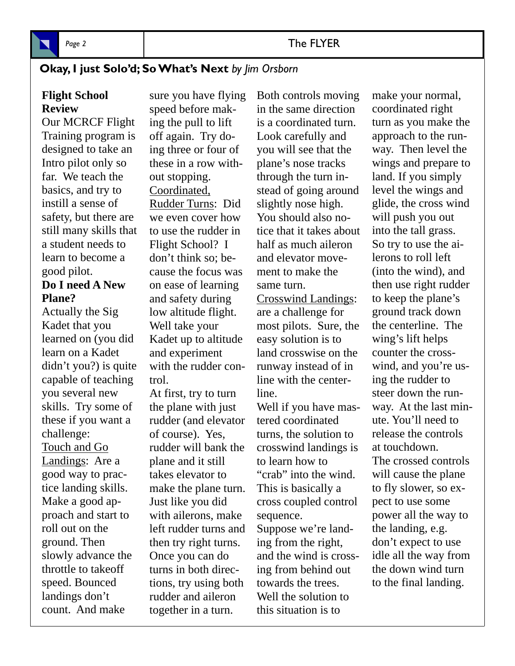

#### Page 2 and 2 and 2 and 2 and 2 and 2 and 2 and 2 and 2 and 2 and 2 and 2 and 2 and 2 and 2 and 2 and 2 and 2 and 2 and 2 and 2 and 2 and 2 and 2 and 2 and 2 and 2 and 2 and 2 and 2 and 2 and 2 and 2 and 2 and 2 and 2 and 2

#### **Okay, I just Solo'd; So What's Next** *by Jim Orsborn*

**Flight School Review** 

Our MCRCF Flight Training program is designed to take an Intro pilot only so far. We teach the basics, and try to instill a sense of safety, but there are still many skills that a student needs to learn to become a good pilot. **Do I need A New** 

## **Plane?**

Actually the Sig Kadet that you learned on (you did learn on a Kadet didn't you?) is quite capable of teaching you several new skills. Try some of these if you want a challenge: Touch and Go Landings: Are a good way to practice landing skills. Make a good approach and start to roll out on the ground. Then slowly advance the throttle to takeoff speed. Bounced landings don't count. And make

sure you have flying speed before making the pull to lift off again. Try doing three or four of these in a row without stopping. Coordinated, Rudder Turns: Did we even cover how to use the rudder in Flight School? I don't think so; because the focus was on ease of learning and safety during low altitude flight. Well take your Kadet up to altitude and experiment with the rudder control.

At first, try to turn the plane with just rudder (and elevator of course). Yes, rudder will bank the plane and it still takes elevator to make the plane turn. Just like you did with ailerons, make left rudder turns and then try right turns. Once you can do turns in both directions, try using both rudder and aileron together in a turn.

Both controls moving in the same direction is a coordinated turn. Look carefully and you will see that the plane's nose tracks through the turn instead of going around slightly nose high. You should also notice that it takes about half as much aileron and elevator movement to make the same turn.

Crosswind Landings: are a challenge for most pilots. Sure, the easy solution is to land crosswise on the runway instead of in line with the centerline.

Well if you have mastered coordinated turns, the solution to crosswind landings is to learn how to "crab" into the wind. This is basically a cross coupled control sequence. Suppose we're landing from the right, and the wind is crossing from behind out towards the trees. Well the solution to

this situation is to

make your normal, coordinated right turn as you make the approach to the runway. Then level the wings and prepare to land. If you simply level the wings and glide, the cross wind will push you out into the tall grass. So try to use the ailerons to roll left (into the wind), and then use right rudder to keep the plane's ground track down the centerline. The wing's lift helps counter the crosswind, and you're using the rudder to steer down the runway. At the last minute. You'll need to release the controls at touchdown. The crossed controls will cause the plane to fly slower, so expect to use some power all the way to the landing, e.g. don't expect to use idle all the way from the down wind turn to the final landing.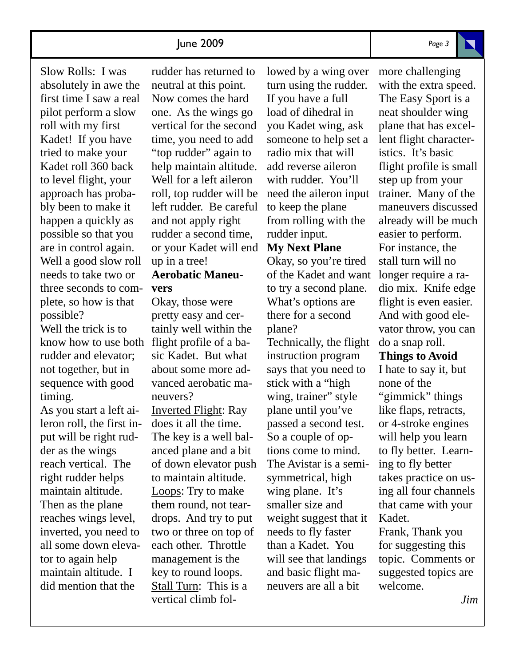know how to use both flight profile of a ba-Slow Rolls: I was absolutely in awe the first time I saw a real pilot perform a slow roll with my first Kadet! If you have tried to make your Kadet roll 360 back to level flight, your approach has probably been to make it happen a quickly as possible so that you are in control again. Well a good slow roll needs to take two or three seconds to complete, so how is that possible? Well the trick is to rudder and elevator;

not together, but in sequence with good timing. As you start a left ai-

leron roll, the first input will be right rudder as the wings reach vertical. The right rudder helps maintain altitude. Then as the plane reaches wings level, inverted, you need to all some down elevator to again help maintain altitude. I did mention that the

rudder has returned to neutral at this point. Now comes the hard one. As the wings go vertical for the second time, you need to add "top rudder" again to help maintain altitude. Well for a left aileron roll, top rudder will be left rudder. Be careful and not apply right rudder a second time, or your Kadet will end up in a tree!

#### **Aerobatic Maneuvers**

Okay, those were pretty easy and certainly well within the sic Kadet. But what about some more advanced aerobatic maneuvers? Inverted Flight: Ray does it all the time. The key is a well balanced plane and a bit of down elevator push to maintain altitude. Loops: Try to make them round, not teardrops. And try to put two or three on top of each other. Throttle management is the key to round loops. Stall Turn: This is a vertical climb followed by a wing over turn using the rudder. If you have a full load of dihedral in you Kadet wing, ask someone to help set a radio mix that will add reverse aileron with rudder. You'll need the aileron input to keep the plane from rolling with the rudder input.

#### **My Next Plane**

Okay, so you're tired of the Kadet and want to try a second plane. What's options are there for a second plane?

Technically, the flight instruction program says that you need to stick with a "high wing, trainer" style plane until you've passed a second test. So a couple of options come to mind. The Avistar is a semisymmetrical, high wing plane. It's smaller size and weight suggest that it needs to fly faster than a Kadet. You will see that landings and basic flight maneuvers are all a bit

more challenging with the extra speed. The Easy Sport is a neat shoulder wing plane that has excellent flight characteristics. It's basic flight profile is small step up from your trainer. Many of the maneuvers discussed already will be much easier to perform. For instance, the stall turn will no longer require a radio mix. Knife edge flight is even easier. And with good elevator throw, you can do a snap roll.

#### **Things to Avoid**

I hate to say it, but none of the "gimmick" things like flaps, retracts, or 4-stroke engines will help you learn to fly better. Learning to fly better takes practice on using all four channels that came with your Kadet.

Frank, Thank you for suggesting this topic. Comments or suggested topics are welcome.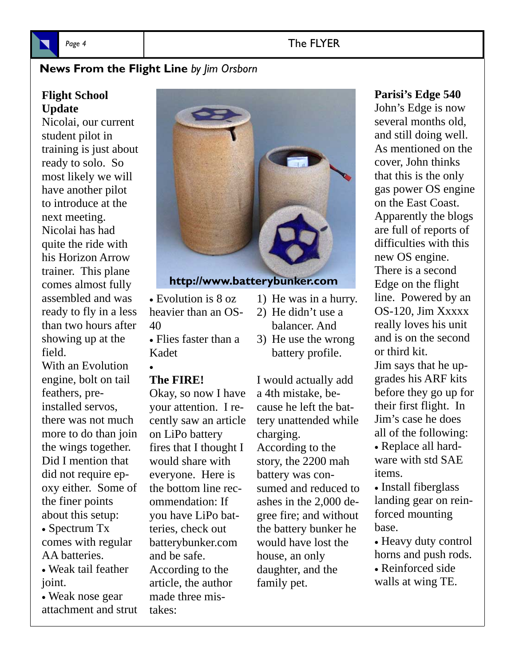

#### Page 4 **The FLYER**

#### **News From the Flight Line** *by Jim Orsborn*

#### **Flight School Update**

Nicolai, our current student pilot in training is just about ready to solo. So most likely we will have another pilot to introduce at the next meeting. Nicolai has had quite the ride with his Horizon Arrow trainer. This plane comes almost fully assembled and was ready to fly in a less than two hours after showing up at the field.

With an Evolution engine, bolt on tail feathers, preinstalled servos, there was not much more to do than join the wings together. Did I mention that did not require epoxy either. Some of the finer points about this setup:

• Spectrum Tx comes with regular AA batteries.

 Weak tail feather joint.

 Weak nose gear attachment and strut



### **http://www.batterybunker.com**

- Evolution is 8 oz heavier than an OS-40
- Flies faster than a Kadet

#### **The FIRE!**

 $\bullet$ 

Okay, so now I have your attention. I recently saw an article on LiPo battery fires that I thought I would share with everyone. Here is the bottom line recommendation: If you have LiPo batteries, check out batterybunker.com and be safe. According to the article, the author made three mistakes:

- 1) He was in a hurry.
- 2) He didn't use a balancer. And
- 3) He use the wrong battery profile.

I would actually add a 4th mistake, because he left the battery unattended while charging. According to the story, the 2200 mah battery was consumed and reduced to ashes in the 2,000 degree fire; and without the battery bunker he would have lost the house, an only daughter, and the family pet.

#### **Parisi's Edge 540**

John's Edge is now several months old, and still doing well. As mentioned on the cover, John thinks that this is the only gas power OS engine on the East Coast. Apparently the blogs are full of reports of difficulties with this new OS engine. There is a second Edge on the flight line. Powered by an OS-120, Jim Xxxxx really loves his unit and is on the second or third kit. Jim says that he upgrades his ARF kits before they go up for

their first flight. In Jim's case he does all of the following: Replace all hardware with std SAE

• Install fiberglass landing gear on reinforced mounting

 Heavy duty control horns and push rods. Reinforced side walls at wing TE.

items.

base.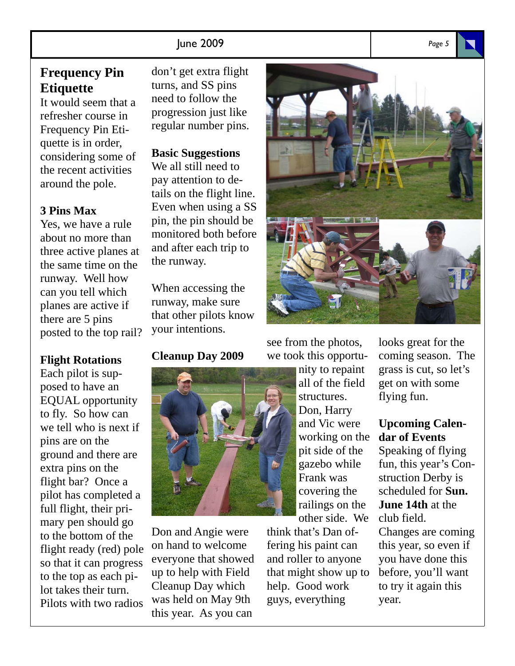#### June 2009 *Page 5*

#### **Frequency Pin Etiquette**

It would seem that a refresher course in Frequency Pin Etiquette is in order, considering some of the recent activities around the pole.

#### **3 Pins Max**

Yes, we have a rule about no more than three active planes at the same time on the runway. Well how can you tell which planes are active if there are 5 pins posted to the top rail?

#### **Flight Rotations**

Each pilot is supposed to have an EQUAL opportunity to fly. So how can we tell who is next if pins are on the ground and there are extra pins on the flight bar? Once a pilot has completed a full flight, their primary pen should go to the bottom of the flight ready (red) pole so that it can progress to the top as each pilot takes their turn. Pilots with two radios

don't get extra flight turns, and SS pins need to follow the progression just like regular number pins.

#### **Basic Suggestions**

We all still need to pay attention to details on the flight line. Even when using a SS pin, the pin should be monitored both before and after each trip to the runway.

When accessing the runway, make sure that other pilots know your intentions.

#### **Cleanup Day 2009**



Don and Angie were on hand to welcome everyone that showed up to help with Field Cleanup Day which was held on May 9th this year. As you can



see from the photos, we took this opportu-

> nity to repaint all of the field structures. Don, Harry and Vic were working on the pit side of the gazebo while Frank was covering the railings on the other side. We

think that's Dan offering his paint can and roller to anyone that might show up to help. Good work guys, everything

looks great for the coming season. The grass is cut, so let's get on with some flying fun.

#### **Upcoming Calendar of Events**

Speaking of flying fun, this year's Construction Derby is scheduled for **Sun. June 14th** at the club field.

Changes are coming this year, so even if you have done this before, you'll want to try it again this year.